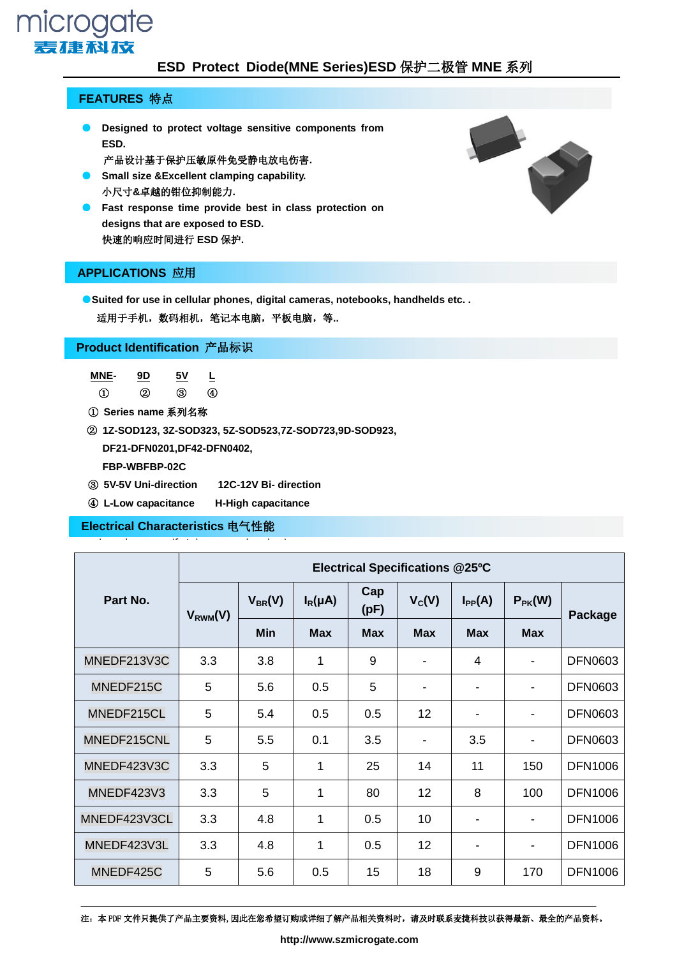# microgate 表捷科衣

### **ESD Protect Diode(MNE Series)ESD** 保护二极管 **MNE** 系列

#### **FEATURES** 特点

- **Designed to protect voltage sensitive components from ESD.**
	- 产品设计基于保护压敏原件免受静电放电伤害**.**
- **Small size &Excellent clamping capability.** 小尺寸**&**卓越的钳位抑制能力**.**
- **Fast response time provide best in class protection on designs that are exposed to ESD.** 快速的响应时间进行 **ESD** 保护**.**



### **APPLICATIONS** 应用

●**Suited for use in cellular phones, digital cameras, notebooks, handhelds etc. .** 

适用于手机,数码相机,笔记本电脑,平板电脑,等**..**

### **Product Identification** 产品标识

| MNE- | 90  | 5۷ | $\sim$<br>═ |
|------|-----|----|-------------|
| (1)  | (9) | จ  |             |

- ① **Series name** 系列名称
- ② **1Z-SOD123, 3Z-SOD323, 5Z-SOD523,7Z-SOD723,9D-SOD923,**

**DF21-DFN0201,DF42-DFN0402,**

**FBP-WBFBP-02C**

- ③ **5V-5V Uni-direction 12C-12V Bi- direction**
- ④ **L-Low capacitance H-High capacitance**

ering, please specify tolerance and packaging

#### **Electrical Characteristics** 电气性能

|              | <b>Electrical Specifications @25°C</b> |             |              |             |                              |                          |                              |                |  |
|--------------|----------------------------------------|-------------|--------------|-------------|------------------------------|--------------------------|------------------------------|----------------|--|
| Part No.     | $V_{RWM}(V)$                           | $V_{BR}(V)$ | $I_R(\mu A)$ | Cap<br>(pF) | $V_c(V)$                     | $I_{PP}(A)$              | $P_{PK}(W)$                  | Package        |  |
|              |                                        | Min         | <b>Max</b>   | <b>Max</b>  | <b>Max</b>                   | <b>Max</b>               | <b>Max</b>                   |                |  |
| MNEDF213V3C  | 3.3                                    | 3.8         | 1            | 9           | $\qquad \qquad \blacksquare$ | 4                        | $\qquad \qquad \blacksquare$ | <b>DFN0603</b> |  |
| MNEDF215C    | 5                                      | 5.6         | 0.5          | 5           | $\blacksquare$               | $\blacksquare$           | -                            | <b>DFN0603</b> |  |
| MNEDF215CL   | 5                                      | 5.4         | 0.5          | 0.5         | 12                           | $\blacksquare$           |                              | <b>DFN0603</b> |  |
| MNEDF215CNL  | 5                                      | 5.5         | 0.1          | 3.5         |                              | 3.5                      | -                            | <b>DFN0603</b> |  |
| MNEDF423V3C  | 3.3                                    | 5           | 1            | 25          | 14                           | 11                       | 150                          | <b>DFN1006</b> |  |
| MNEDF423V3   | 3.3                                    | 5           | 1            | 80          | 12                           | 8                        | 100                          | <b>DFN1006</b> |  |
| MNEDF423V3CL | 3.3                                    | 4.8         | 1            | 0.5         | 10                           |                          | $\qquad \qquad \blacksquare$ | <b>DFN1006</b> |  |
| MNEDF423V3L  | 3.3                                    | 4.8         | 1            | 0.5         | 12                           | $\overline{\phantom{0}}$ | $\blacksquare$               | <b>DFN1006</b> |  |
| MNEDF425C    | 5                                      | 5.6         | 0.5          | 15          | 18                           | 9                        | 170                          | <b>DFN1006</b> |  |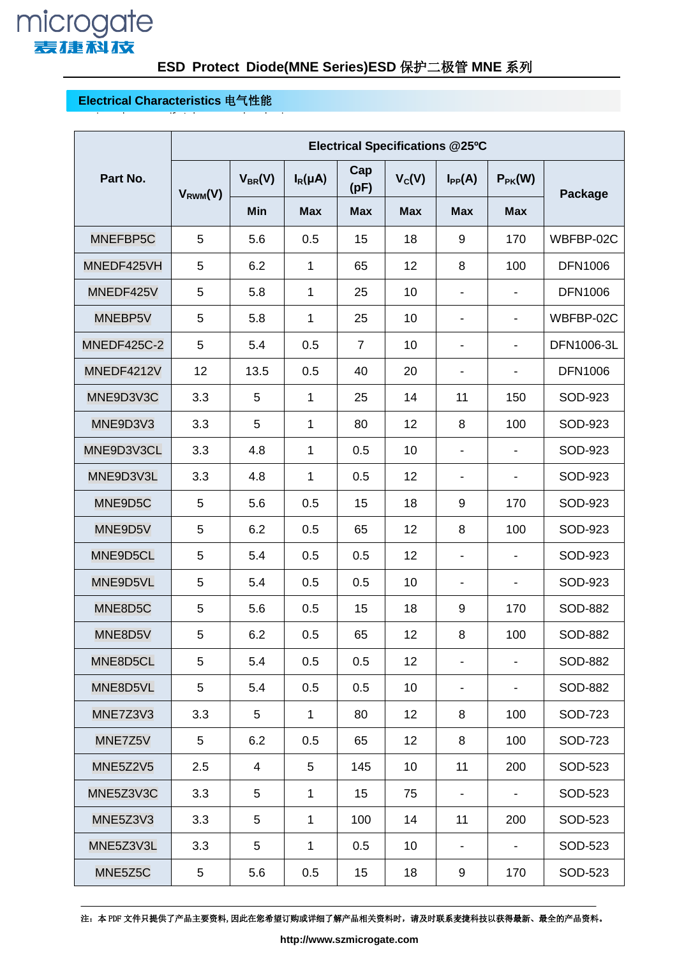## **Electrical Characteristics** 电气性能

ering, please specify tolerance and packaging

|                    | Electrical Specifications @25°C |                |                 |                  |            |                          |                |                |  |
|--------------------|---------------------------------|----------------|-----------------|------------------|------------|--------------------------|----------------|----------------|--|
| Part No.           | $V_{RWM}(V)$                    | $V_{BR}(V)$    | $I_R(\mu A)$    | Cap<br>(pF)      | $V_C(V)$   | $I_{PP}(A)$              | $P_{PK}(W)$    | Package        |  |
|                    |                                 | Min            | <b>Max</b>      | <b>Max</b>       | <b>Max</b> | <b>Max</b>               | <b>Max</b>     |                |  |
| MNEFBP5C           | 5                               | 5.6            | 0.5             | 15               | 18         | 9                        | 170            | WBFBP-02C      |  |
| MNEDF425VH         | 5                               | 6.2            | 1               | 65               | 12         | 8                        | 100            | <b>DFN1006</b> |  |
| MNEDF425V          | 5                               | 5.8            | 1               | 25               | 10         | -                        |                | <b>DFN1006</b> |  |
| MNEBP5V            | 5                               | 5.8            | 1               | 25               | 10         | -                        |                | WBFBP-02C      |  |
| <b>MNEDF425C-2</b> | 5                               | 5.4            | 0.5             | $\overline{7}$   | 10         | $\overline{\phantom{0}}$ | $\blacksquare$ | DFN1006-3L     |  |
| MNEDF4212V         | 12                              | 13.5           | 0.5             | 40               | 20         |                          |                | <b>DFN1006</b> |  |
| MNE9D3V3C          | 3.3                             | 5              | 1               | 25               | 14         | 11                       | 150            | SOD-923        |  |
| MNE9D3V3           | 3.3                             | 5              | 1               | 80               | 12         | 8                        | 100            | SOD-923        |  |
| MNE9D3V3CL         | 3.3                             | 4.8            | 1               | 0.5              | 10         |                          |                | SOD-923        |  |
| MNE9D3V3L          | 3.3                             | 4.8            | 1               | 0.5              | 12         |                          |                | SOD-923        |  |
| MNE9D5C            | 5                               | 5.6            | 0.5             | 15               | 18         | 9                        | 170            | SOD-923        |  |
| MNE9D5V            | 5                               | 6.2            | 0.5             | 65               | 12         | 8                        | 100            | SOD-923        |  |
| MNE9D5CL           | 5                               | 5.4            | 0.5             | 0.5              | 12         | -                        |                | SOD-923        |  |
| MNE9D5VL           | 5                               | 5.4            | 0.5             | 0.5              | 10         | -                        |                | SOD-923        |  |
| MNE8D5C            | 5                               | 5.6            | 0.5             | 15               | 18         | 9                        | 170            | SOD-882        |  |
| MNE8D5V            | 5                               | 6.2            | 0.5             | 65               | 12         | 8                        | 100            | SOD-882        |  |
| MNE8D5CL           | 5                               | 5.4            | 0.5             | 0.5              | 12         |                          |                | SOD-882        |  |
| MNE8D5VL           | 5                               | 5.4            | 0.5             | 0.5              | 10         |                          |                | SOD-882        |  |
| MNE7Z3V3           | 3.3                             | 5              | 1               | 80               | 12         | 8                        | 100            | SOD-723        |  |
| MNE7Z5V            | 5                               | 6.2            | 0.5             | 65               | 12         | 8                        | 100            | SOD-723        |  |
| <b>MNE5Z2V5</b>    | 2.5                             | $\overline{4}$ | $5\phantom{.0}$ | 145              | 10         | 11                       | 200            | SOD-523        |  |
| MNE5Z3V3C          | 3.3                             | 5              | $\mathbf{1}$    | 15 <sub>15</sub> | 75         | $\blacksquare$           |                | SOD-523        |  |
| MNE5Z3V3           | 3.3                             | 5              | 1               | 100              | 14         | 11                       | 200            | SOD-523        |  |
| MNE5Z3V3L          | 3.3                             | 5              | 1               | 0.5              | 10         | $\blacksquare$           | $\blacksquare$ | SOD-523        |  |
| MNE5Z5C            | 5                               | 5.6            | 0.5             | 15 <sub>15</sub> | 18         | 9                        | 170            | SOD-523        |  |

注: 本 PDF 文件只提供了产品主要资料,因此在您希望订购或详细了解产品相关资料时,请及时联系麦捷科技以获得最新、最全的产品资料。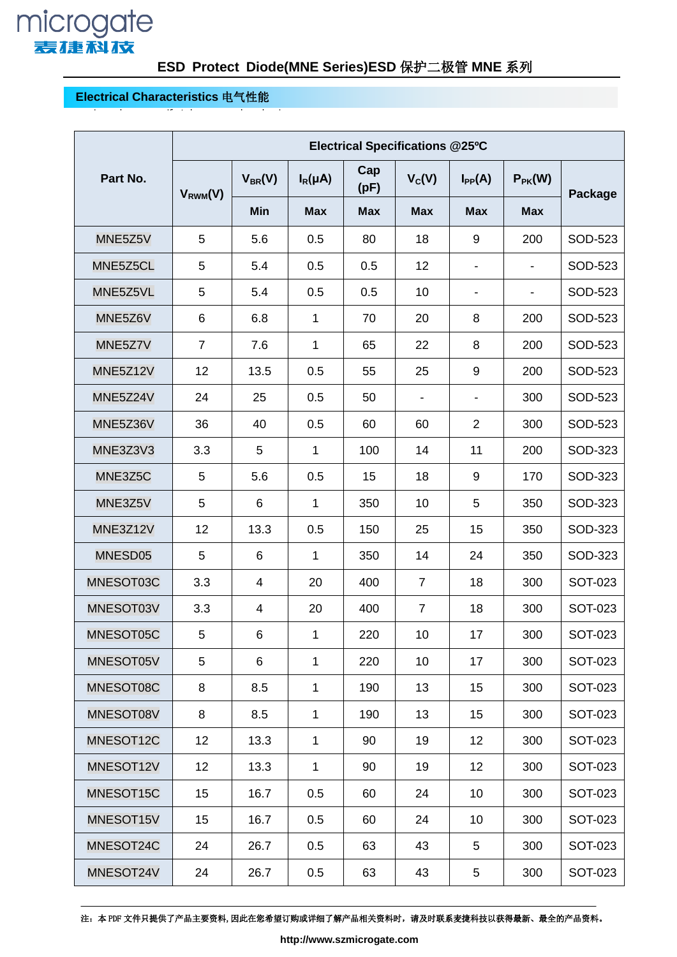# microgate 表建科孩

## **Electrical Characteristics** 电气性能

ering, please specify tolerance and packaging

|           | <b>Electrical Specifications @25°C</b> |             |              |                         |                              |                              |                              |                |  |
|-----------|----------------------------------------|-------------|--------------|-------------------------|------------------------------|------------------------------|------------------------------|----------------|--|
| Part No.  | $V_{RWM}(V)$                           | $V_{BR}(V)$ | $I_R(\mu A)$ | Cap<br>$V_C(V)$<br>(pF) |                              | $I_{PP}(A)$                  | $P_{PK}(W)$                  | Package        |  |
|           |                                        | <b>Min</b>  | <b>Max</b>   | <b>Max</b>              | <b>Max</b>                   | <b>Max</b>                   | <b>Max</b>                   |                |  |
| MNE5Z5V   | 5                                      | 5.6         | 0.5          | 80                      | 18                           | 9                            | 200                          | SOD-523        |  |
| MNE5Z5CL  | 5                                      | 5.4         | 0.5          | 0.5                     | 12                           | $\overline{\phantom{a}}$     |                              | SOD-523        |  |
| MNE5Z5VL  | 5                                      | 5.4         | 0.5          | 0.5                     | 10                           | $\qquad \qquad \blacksquare$ | $\qquad \qquad \blacksquare$ | SOD-523        |  |
| MNE5Z6V   | 6                                      | 6.8         | $\mathbf{1}$ | 70                      | 20                           | 8                            | 200                          | SOD-523        |  |
| MNE5Z7V   | $\overline{7}$                         | 7.6         | $\mathbf{1}$ | 65                      | 22                           | 8                            | 200                          | SOD-523        |  |
| MNE5Z12V  | 12                                     | 13.5        | 0.5          | 55                      | 25                           | 9                            | 200                          | SOD-523        |  |
| MNE5Z24V  | 24                                     | 25          | 0.5          | 50                      | $\qquad \qquad \blacksquare$ |                              | 300                          | SOD-523        |  |
| MNE5Z36V  | 36                                     | 40          | 0.5          | 60                      | 60                           | $\overline{2}$               | 300                          | SOD-523        |  |
| MNE3Z3V3  | 3.3                                    | 5           | 1            | 100                     | 14                           | 11                           | 200                          | SOD-323        |  |
| MNE3Z5C   | 5                                      | 5.6         | 0.5          | 15                      | 18                           | $\boldsymbol{9}$             | 170                          | SOD-323        |  |
| MNE3Z5V   | 5                                      | 6           | 1            | 350                     | 10                           | 5                            | 350                          | SOD-323        |  |
| MNE3Z12V  | 12                                     | 13.3        | 0.5          | 150                     | 25                           | 15                           | 350                          | SOD-323        |  |
| MNESD05   | 5                                      | 6           | 1            | 350                     | 14                           | 24                           | 350                          | SOD-323        |  |
| MNESOT03C | 3.3                                    | 4           | 20           | 400                     | $\overline{7}$               | 18                           | 300                          | SOT-023        |  |
| MNESOT03V | 3.3                                    | 4           | 20           | 400                     | $\overline{7}$               | 18                           | 300                          | <b>SOT-023</b> |  |
| MNESOT05C | 5                                      | 6           | $\mathbf{1}$ | 220                     | 10                           | 17                           | 300                          | SOT-023        |  |
| MNESOT05V | 5                                      | 6           | $\mathbf{1}$ | 220                     | 10                           | 17                           | 300                          | SOT-023        |  |
| MNESOT08C | 8                                      | 8.5         | $\mathbf{1}$ | 190                     | 13                           | 15                           | 300                          | SOT-023        |  |
| MNESOT08V | 8                                      | 8.5         | $\mathbf{1}$ | 190                     | 13                           | 15                           | 300                          | SOT-023        |  |
| MNESOT12C | 12                                     | 13.3        | $\mathbf{1}$ | 90                      | 19                           | 12                           | 300                          | SOT-023        |  |
| MNESOT12V | 12                                     | 13.3        | $\mathbf{1}$ | 90                      | 19                           | 12                           | 300                          | SOT-023        |  |
| MNESOT15C | 15                                     | 16.7        | 0.5          | 60                      | 24                           | 10                           | 300                          | SOT-023        |  |
| MNESOT15V | 15                                     | 16.7        | 0.5          | 60                      | 24                           | 10                           | 300                          | SOT-023        |  |
| MNESOT24C | 24                                     | 26.7        | 0.5          | 63                      | 43                           | 5                            | 300                          | SOT-023        |  |
| MNESOT24V | 24                                     | 26.7        | 0.5          | 63                      | 43                           | 5                            | 300                          | SOT-023        |  |

注: 本 PDF 文件只提供了产品主要资料,因此在您希望订购或详细了解产品相关资料时,请及时联系麦捷科技以获得最新、最全的产品资料。